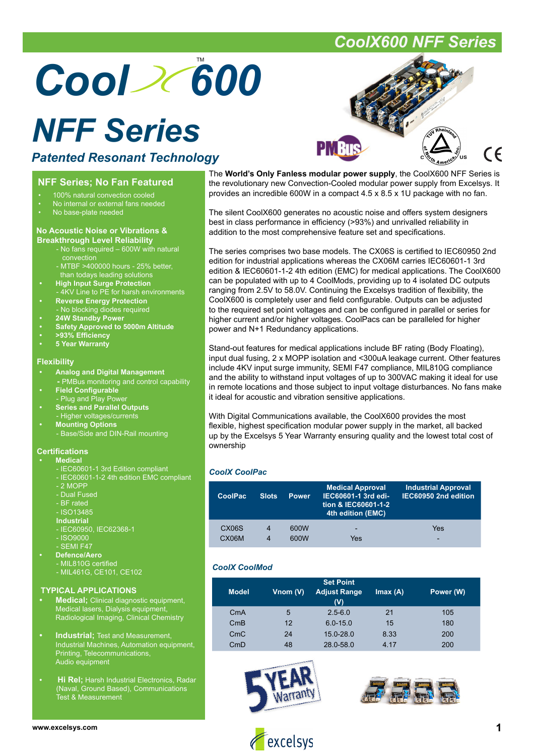# Cool 2(600

## *NFF Series*

### *Patented Resonant Technology*

### **NFF Series; No Fan Featured**

- 100% natural convection cooled
- No internal or external fans needed
- No base-plate needed

#### **No Acoustic Noise or Vibrations & Breakthrough Level Reliability**

- No fans required 600W with natural **convection**
- MTBF >400000 hours 25% better, than todays leading solutions
	- **High Input Surge Protection** - 4KV Line to PE for harsh environments
	- **Reverse Energy Protection** - No blocking diodes required
	- **24W Standby Power**
	- **Safety Approved to 5000m Altitude**
	- **>93% Effi ciency**
	- **5 Year Warranty**

### **Flexibility**

- **Analog and Digital Management**
- **-** PMBus monitoring and control capability
- **Field Configurable**
- Plug and Play Pow **• Series and Parallel Outputs**
- Higher voltages/currents
- **Mounting Options** - Base/Side and DIN-Rail mounting

### **Certifications**

#### **• Medical**

- IEC60601-1 3rd Edition compliant
	- IEC60601-1-2 4th edition EMC compliant
- 2 MOPP
- Dual Fused
- BF rated - ISO13485
- **Industrial**
- IEC60950, IEC62368-1
- ISO9000
- SEMI F47
- **Defence/Aero**
	- MIL810G certified
	- MIL461G, CE101, CE102

#### **TYPICAL APPLICATIONS**

- **Medical;** Clinical diagnostic equipment, Medical lasers, Dialysis equipment, Radiological Imaging, Clinical Chemistry
- **Industrial;** Test and Measurement, Industrial Machines, Automation equipment, Printing, Telecommunications, Audio equipment
- **Hi Rel;** Harsh Industrial Electronics, Radar (Naval, Ground Based), Communications Test & Measurement

(C

The **World's Only Fanless modular power supply**, the CoolX600 NFF Series is the revolutionary new Convection-Cooled modular power supply from Excelsys. It provides an incredible 600W in a compact 4.5 x 8.5 x 1U package with no fan.

The silent CoolX600 generates no acoustic noise and offers system designers best in class performance in efficiency (>93%) and unrivalled reliability in addition to the most comprehensive feature set and specifications.

The series comprises two base models. The CX06S is certified to IEC60950 2nd edition for industrial applications whereas the CX06M carries IEC60601-1 3rd edition & IEC60601-1-2 4th edition (EMC) for medical applications. The CoolX600 can be populated with up to 4 CoolMods, providing up to 4 isolated DC outputs ranging from 2.5V to 58.0V. Continuing the Excelsys tradition of flexibility, the CoolX600 is completely user and field configurable. Outputs can be adjusted to the required set point voltages and can be configured in parallel or series for higher current and/or higher voltages. CoolPacs can be paralleled for higher power and N+1 Redundancy applications.

Stand-out features for medical applications include BF rating (Body Floating), input dual fusing, 2 x MOPP isolation and <300uA leakage current. Other features include 4KV input surge immunity, SEMI F47 compliance, MIL810G compliance and the ability to withstand input voltages of up to 300VAC making it ideal for use in remote locations and those subject to input voltage disturbances. No fans make it ideal for acoustic and vibration sensitive applications.

With Digital Communications available, the CoolX600 provides the most flexible, highest specification modular power supply in the market, all backed up by the Excelsys 5 Year Warranty ensuring quality and the lowest total cost of ownership

### *CoolX CoolPac*

| <b>CoolPac</b>     | <b>Slots</b> | <b>Power</b> | <b>Medical Approval</b><br>IEC60601-1 3rd edi-<br>tion & IEC60601-1-2<br>4th edition (EMC) | <b>Industrial Approval</b><br>IEC60950 2nd edition |
|--------------------|--------------|--------------|--------------------------------------------------------------------------------------------|----------------------------------------------------|
| CX <sub>06</sub> S | 4            | 600W         | -                                                                                          | Yes                                                |
| CX06M              | 4            | 600W         | Yes                                                                                        | -                                                  |

### *CoolX CoolMod*

| <b>Model</b> | Vnom (V) | <b>Set Point</b><br><b>Adjust Range</b><br>(V) | Imax(A) | Power (W) |
|--------------|----------|------------------------------------------------|---------|-----------|
| CmA          | 5        | $2.5 - 6.0$                                    | 21      | 105       |
| CmB          | 12       | $6.0 - 15.0$                                   | 15      | 180       |
| CmC          | 24       | $15.0 - 28.0$                                  | 8.33    | 200       |
| CmD          | 48       | 28.0-58.0                                      | 4 17    | 200       |









### *CoolX600 NFF Series*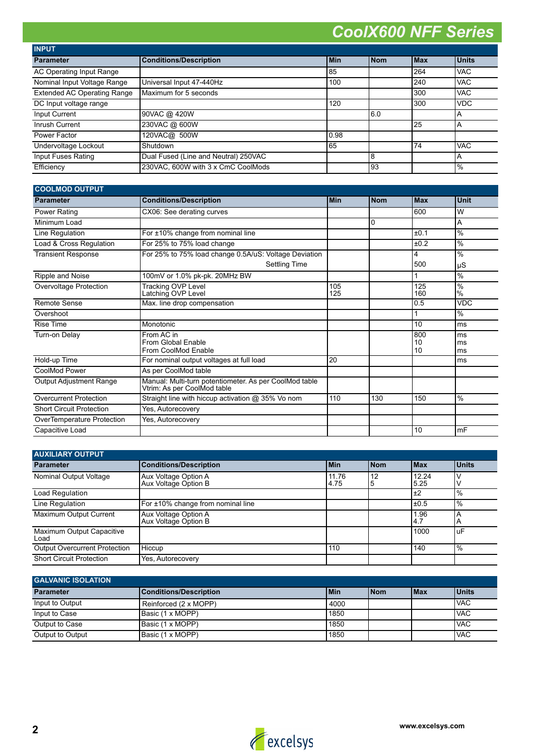| <b>INPUT</b>                       |                                      |       |            |       |                         |
|------------------------------------|--------------------------------------|-------|------------|-------|-------------------------|
| <b>Parameter</b>                   | <b>Conditions/Description</b>        | l Min | <b>Nom</b> | l Max | <b>Units</b>            |
| AC Operating Input Range           |                                      | 85    |            | 264   | <b>VAC</b>              |
| Nominal Input Voltage Range        | Universal Input 47-440Hz             | 100   |            | 240   | <b>VAC</b>              |
| <b>Extended AC Operating Range</b> | Maximum for 5 seconds                |       |            | 300   | <b>VAC</b>              |
| DC Input voltage range             |                                      | 120   |            | 300   | <b>VDC</b>              |
| Input Current                      | 90VAC @ 420W                         |       | 16.0       |       | $\mathsf{A}$            |
| Inrush Current                     | 230VAC @ 600W                        |       |            | 125   | $\overline{A}$          |
| Power Factor                       | 120VAC@ 500W                         | 10.98 |            |       |                         |
| Undervoltage Lockout               | Shutdown                             | 65    |            | 74    | <b>VAC</b>              |
| Input Fuses Rating                 | Dual Fused (Line and Neutral) 250VAC |       | 8          |       | $\overline{\mathsf{A}}$ |
| Efficiency                         | 230VAC, 600W with 3 x CmC CoolMods   |       | 93         |       | $\frac{9}{6}$           |

| <b>COOLMOD OUTPUT</b>           |                                                                                       |            |            |                 |                       |
|---------------------------------|---------------------------------------------------------------------------------------|------------|------------|-----------------|-----------------------|
| <b>Parameter</b>                | <b>Conditions/Description</b>                                                         | <b>Min</b> | <b>Nom</b> | l Max           | <b>Unit</b>           |
| Power Rating                    | CX06: See derating curves                                                             |            |            | 600             | W                     |
| Minimum Load                    |                                                                                       |            | 0          |                 | A                     |
| Line Regulation                 | For ±10% change from nominal line                                                     |            |            | ±0.1            | $\frac{0}{6}$         |
| Load & Cross Regulation         | For 25% to 75% load change                                                            |            |            | ±0.2            | $\frac{0}{0}$         |
| <b>Transient Response</b>       | For 25% to 75% load change 0.5A/uS: Voltage Deviation                                 |            |            | 4               | $\frac{0}{6}$         |
|                                 | <b>Settling Time</b>                                                                  |            |            | 500             | μS                    |
| Ripple and Noise                | 100mV or 1.0% pk-pk. 20MHz BW                                                         |            |            |                 | $\frac{0}{0}$         |
| Overvoltage Protection          | <b>Tracking OVP Level</b><br>Latching OVP Level                                       | 105<br>125 |            | 125<br>160      | $\frac{0}{6}$<br>$\%$ |
| Remote Sense                    | Max. line drop compensation                                                           |            |            | 0.5             | <b>VDC</b>            |
| Overshoot                       |                                                                                       |            |            |                 | $\frac{0}{6}$         |
| <b>Rise Time</b>                | Monotonic                                                                             |            |            | 10              | ms                    |
| Turn-on Delay                   | From AC in<br>From Global Enable<br>From CoolMod Enable                               |            |            | 800<br>10<br>10 | ms<br>lms<br>ms       |
| Hold-up Time                    | For nominal output voltages at full load                                              | 20         |            |                 | lms                   |
| CoolMod Power                   | As per CoolMod table                                                                  |            |            |                 |                       |
| <b>Output Adjustment Range</b>  | Manual: Multi-turn potentiometer. As per CoolMod table<br>Vtrim: As per CoolMod table |            |            |                 |                       |
| <b>Overcurrent Protection</b>   | Straight line with hiccup activation @ 35% Vo nom                                     | 110        | 130        | 150             | $\frac{0}{0}$         |
| <b>Short Circuit Protection</b> | Yes, Autorecovery                                                                     |            |            |                 |                       |
| OverTemperature Protection      | Yes, Autorecovery                                                                     |            |            |                 |                       |
| Capacitive Load                 |                                                                                       |            |            | 10              | mF                    |

| <b>AUXILIARY OUTPUT</b>              |                                              |               |            |               |                |
|--------------------------------------|----------------------------------------------|---------------|------------|---------------|----------------|
| <b>Parameter</b>                     | <b>Conditions/Description</b>                | l Min         | <b>Nom</b> | <b>IMax</b>   | <b>Units</b>   |
| Nominal Output Voltage               | Aux Voltage Option A<br>Aux Voltage Option B | 11.76<br>4.75 | 12<br>l5   | 12.24<br>5.25 |                |
| Load Regulation                      |                                              |               |            | $\pm 2$       | $\frac{10}{6}$ |
| Line Regulation                      | For ±10% change from nominal line            |               |            | $\pm 0.5$     | $\frac{1}{6}$  |
| Maximum Output Current               | Aux Voltage Option A<br>Aux Voltage Option B |               |            | 1.96<br>4.7   | IΑ             |
| Maximum Output Capacitive<br>Load    |                                              |               |            | 1000          | luF            |
| <b>Output Overcurrent Protection</b> | Hiccup                                       | 110           |            | 140           | $\frac{1}{6}$  |
| <b>Short Circuit Protection</b>      | Yes, Autorecovery                            |               |            |               |                |

| <b>GALVANIC ISOLATION</b> |                               |       |             |             |              |
|---------------------------|-------------------------------|-------|-------------|-------------|--------------|
| <b>Parameter</b>          | <b>Conditions/Description</b> | l Min | <b>INom</b> | <b>IMax</b> | <b>Units</b> |
| Input to Output           | Reinforced (2 x MOPP)         | 4000  |             |             | <b>IVAC</b>  |
| Input to Case             | Basic (1 x MOPP)              | 1850  |             |             | <b>IVAC</b>  |
| Output to Case            | Basic (1 x MOPP)              | 1850  |             |             | <b>IVAC</b>  |
| Output to Output          | Basic (1 x MOPP)              | 1850  |             |             | <b>IVAC</b>  |



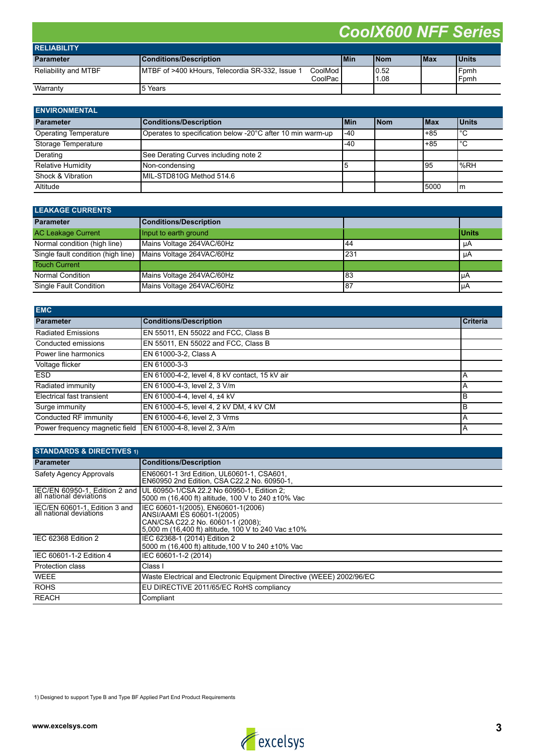| <b>RELIABILITY</b>   |                                                  |                        |            |              |             |              |
|----------------------|--------------------------------------------------|------------------------|------------|--------------|-------------|--------------|
| <b>Parameter</b>     | Conditions/Description                           |                        | <b>Min</b> | <b>INom</b>  | <b>IMax</b> | <b>Units</b> |
| Reliability and MTBF | IMTBF of >400 kHours, Telecordia SR-332, Issue 1 | CoolMod l<br>CoolPac i |            | 0.52<br>1.08 |             | Fomh<br>Fomh |
| Warranty             | 15 Years                                         |                        |            |              |             |              |

| <b>ENVIRONMENTAL</b>         |                                                            |       |            |             |              |
|------------------------------|------------------------------------------------------------|-------|------------|-------------|--------------|
| <b>Parameter</b>             | <b>Conditions/Description</b>                              | l Min | <b>Nom</b> | <b>IMax</b> | <b>Units</b> |
| <b>Operating Temperature</b> | Operates to specification below -20°C after 10 min warm-up | $-40$ |            | $+85$       | l°С          |
| Storage Temperature          |                                                            | -40   |            | $+85$       | l°С          |
| Derating                     | See Derating Curves including note 2                       |       |            |             |              |
| Relative Humidity            | Non-condensing                                             | ۱b    |            | 195         | $\%RH$       |
| Shock & Vibration            | MIL-STD810G Method 514.6                                   |       |            |             |              |
| Altitude                     |                                                            |       |            | 15000       | Im           |

| <b>LEAKAGE CURRENTS</b>            |                           |      |              |  |
|------------------------------------|---------------------------|------|--------------|--|
| <b>Parameter</b>                   | Conditions/Description    |      |              |  |
| <b>AC Leakage Current</b>          | Input to earth ground     |      | <b>Units</b> |  |
| Normal condition (high line)       | Mains Voltage 264VAC/60Hz | 144  | μA           |  |
| Single fault condition (high line) | Mains Voltage 264VAC/60Hz | l231 | μA           |  |
| <b>Touch Current</b>               |                           |      |              |  |
| Normal Condition                   | Mains Voltage 264VAC/60Hz | 183  | l µA         |  |
| Single Fault Condition             | Mains Voltage 264VAC/60Hz | 187  | IμA          |  |

| <b>EMC</b>                     |                                                |                 |
|--------------------------------|------------------------------------------------|-----------------|
| <b>Parameter</b>               | <b>Conditions/Description</b>                  | <b>Criteria</b> |
| <b>Radiated Emissions</b>      | EN 55011, EN 55022 and FCC, Class B            |                 |
| Conducted emissions            | EN 55011, EN 55022 and FCC, Class B            |                 |
| Power line harmonics           | EN 61000-3-2, Class A                          |                 |
| Voltage flicker                | EN 61000-3-3                                   |                 |
| <b>ESD</b>                     | EN 61000-4-2, level 4, 8 kV contact, 15 kV air | А               |
| Radiated immunity              | EN 61000-4-3, level 2, 3 V/m                   | Α               |
| Electrical fast transient      | EN 61000-4-4, level 4, ±4 kV                   | B               |
| Surge immunity                 | EN 61000-4-5, level 4, 2 kV DM, 4 kV CM        | B               |
| Conducted RF immunity          | EN 61000-4-6, level 2, 3 Vrms                  | A               |
| Power frequency magnetic field | EN 61000-4-8, level 2, 3 A/m                   | A               |

| <b>STANDARDS &amp; DIRECTIVES 1)</b>                     |                                                                                                                                                              |  |  |  |
|----------------------------------------------------------|--------------------------------------------------------------------------------------------------------------------------------------------------------------|--|--|--|
| <b>Parameter</b>                                         | <b>Conditions/Description</b>                                                                                                                                |  |  |  |
| Safety Agency Approvals                                  | EN60601-1 3rd Edition, UL60601-1, CSA601,<br>EN60950 2nd Edition. CSA C22.2 No. 60950-1.                                                                     |  |  |  |
| IEC/EN 60950-1, Edition 2 and                            | UL 60950-1/CSA 22.2 No 60950-1, Edition 2;<br>5000 m (16,400 ft) altitude, 100 V to 240 ±10% Vac                                                             |  |  |  |
| IEC/EN 60601-1, Edition 3 and<br>all national deviations | IEC 60601-1(2005), EN60601-1(2006)<br>ANSI/AAMI ES 60601-1(2005)<br>CAN/CSA C22.2 No. 60601-1 (2008);<br>5,000 m (16,400 ft) altitude, 100 V to 240 Vac ±10% |  |  |  |
| IEC 62368 Edition 2                                      | IEC 62368-1 (2014) Edition 2<br>5000 m (16.400 ft) altitude 100 V to 240 ±10% Vac                                                                            |  |  |  |
| IEC 60601-1-2 Edition 4                                  | IEC 60601-1-2 (2014)                                                                                                                                         |  |  |  |
| <b>Protection class</b>                                  | Class I                                                                                                                                                      |  |  |  |
| <b>WEEE</b>                                              | Waste Electrical and Electronic Equipment Directive (WEEE) 2002/96/EC                                                                                        |  |  |  |
| <b>ROHS</b>                                              | EU DIRECTIVE 2011/65/EC RoHS compliancy                                                                                                                      |  |  |  |
| <b>REACH</b>                                             | Compliant                                                                                                                                                    |  |  |  |

1) Designed to support Type B and Type BF Applied Part End Product Requirements

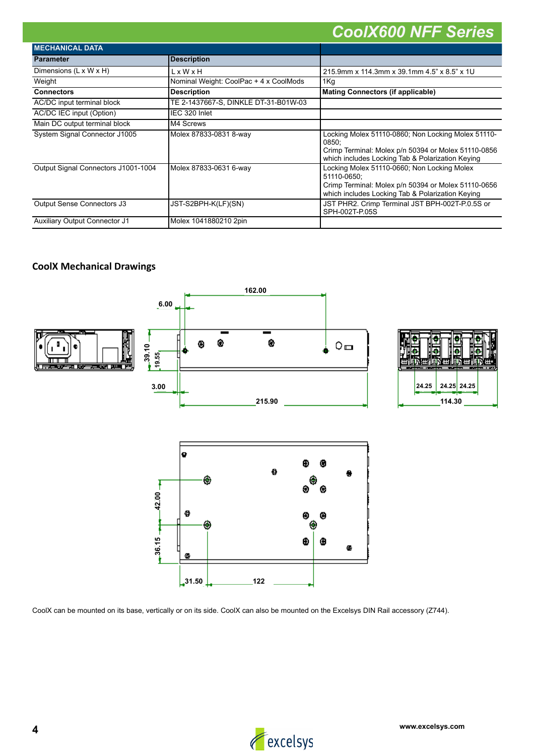| <b>MECHANICAL DATA</b>               |                                        |                                                                                                                                                                        |
|--------------------------------------|----------------------------------------|------------------------------------------------------------------------------------------------------------------------------------------------------------------------|
| <b>Parameter</b>                     | <b>Description</b>                     |                                                                                                                                                                        |
| Dimensions $(L \times W \times H)$   | LxWxH                                  | 215.9mm x 114.3mm x 39.1mm 4.5" x 8.5" x 1U                                                                                                                            |
| Weight                               | Nominal Weight: CoolPac + 4 x CoolMods | 1Kg                                                                                                                                                                    |
| <b>Connectors</b>                    | <b>Description</b>                     | <b>Mating Connectors (if applicable)</b>                                                                                                                               |
| AC/DC input terminal block           | TE 2-1437667-S, DINKLE DT-31-B01W-03   |                                                                                                                                                                        |
| AC/DC IEC input (Option)             | IEC 320 Inlet                          |                                                                                                                                                                        |
| Main DC output terminal block        | M4 Screws                              |                                                                                                                                                                        |
| System Signal Connector J1005        | Molex 87833-0831 8-way                 | Locking Molex 51110-0860; Non Locking Molex 51110-<br>0850:<br>Crimp Terminal: Molex p/n 50394 or Molex 51110-0856<br>which includes Locking Tab & Polarization Keying |
| Output Signal Connectors J1001-1004  | Molex 87833-0631 6-way                 | Locking Molex 51110-0660; Non Locking Molex<br>51110-0650:<br>Crimp Terminal: Molex p/n 50394 or Molex 51110-0656<br>which includes Locking Tab & Polarization Keying  |
| Output Sense Connectors J3           | JST-S2BPH-K(LF)(SN)                    | JST PHR2. Crimp Terminal JST BPH-002T-P.0.5S or<br>SPH-002T-P.05S                                                                                                      |
| <b>Auxiliary Output Connector J1</b> | Molex 1041880210 2pin                  |                                                                                                                                                                        |

### **CoolX Mechanical Drawings**



CoolX can be mounted on its base, vertically or on its side. CoolX can also be mounted on the Excelsys DIN Rail accessory (Z744).

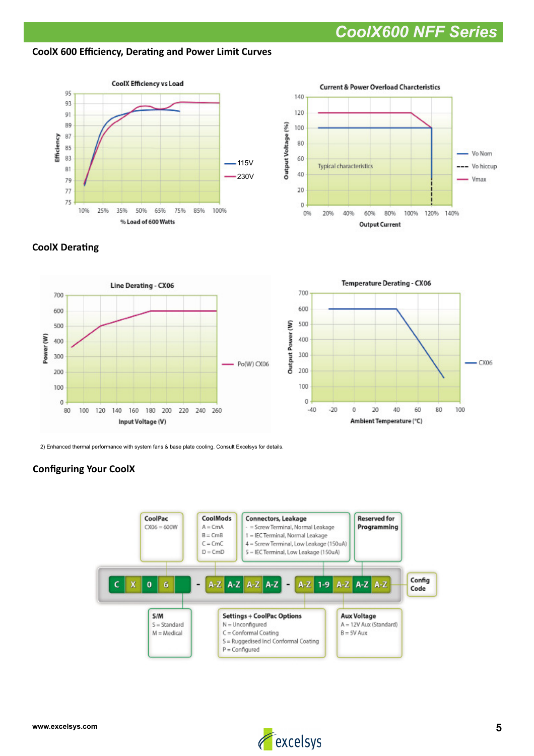### **CoolX 600 Efficiency, Derating and Power Limit Curves**





### **CoolX Derating**





2) Enhanced thermal performance with system fans & base plate cooling. Consult Excelsys for details.

### **Configuring Your CoolX**